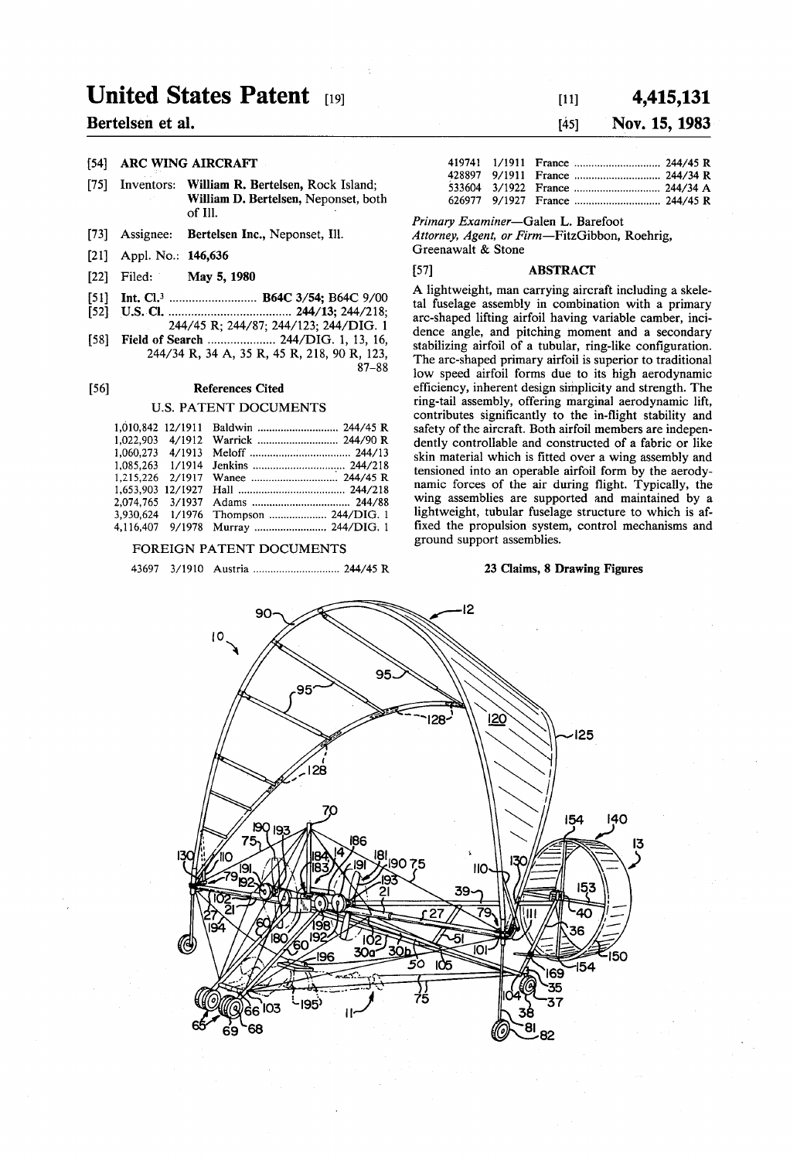# United States Patent [19]

## Bertelsen et al.

#### 54 ARC WING AIRCRAFT

- $[75]$ Inventors: William R. Bertelsen, Rock Island; William D. Bertelsen, Neponset, both of Ill.
- [73] Assignee: Bertelsen Inc., Neponset, Ill.
- (21) Appl. No.: 146,636
- [22] Filed: May 5, 1980
- $[51]$ Int. Cl. ........................... B64C3/54; B64C 9/00
- 52) U.S. C. ...................................... 244/13; 244/218; 244/45 R; 244/87; 244/123; 244/DIG. 1
- 58) Field of Search ..................... 244/DIG. 1, 13, 16, 244/34 R, 34 A, 35 R, 45 R, 218, 90 R, 123, 87-88

#### (56) References Cited

#### U.S. PATENT DOCUMENTS

| 1.022.903<br>1.215.226<br>4.116.407 | 9/1978 Murray  244/DIG. 1 |
|-------------------------------------|---------------------------|
|-------------------------------------|---------------------------|

#### FOREIGN PATENT DOCUMENTS

43697 3/1910 Austria .............................. 244/45 R

# $[11]$  4,415,131

## 45) Nov. 15, 1983

Primary Examiner-Galen L. Barefoot Attorney, Agent, or Firm-FitzGibbon, Roehrig, Greenawalt & Stone

#### [57] **ABSTRACT**

A lightweight, man carrying aircraft including a skele-<br>tal fuselage assembly in combination with a primary arc-shaped lifting airfoil having variable camber, incidence angle, and pitching moment and a secondary stabilizing airfoil of a tubular, ring-like configuration.<br>The arc-shaped primary airfoil is superior to traditional<br>low speed airfoil forms due to its high aerodynamic efficiency, inherent design simplicity and strength. The ring-tail assembly, offering marginal aerodynamic lift, contributes significantly to the in-flight stability and safety of the aircraft. Both airfoil members are independently controllable and constructed of a fabric or like skin material which is fitted over a wing assembly and tensioned into an operable airfoil form by the aerodynamic forces of the air during flight. Typically, the wing assemblies are supported and maintained by a lightweight, tubular fuselage structure to which is affixed the propulsion system, control mechanisms and ground support assemblies.

#### 23 Claims, 8 Drawing Figures

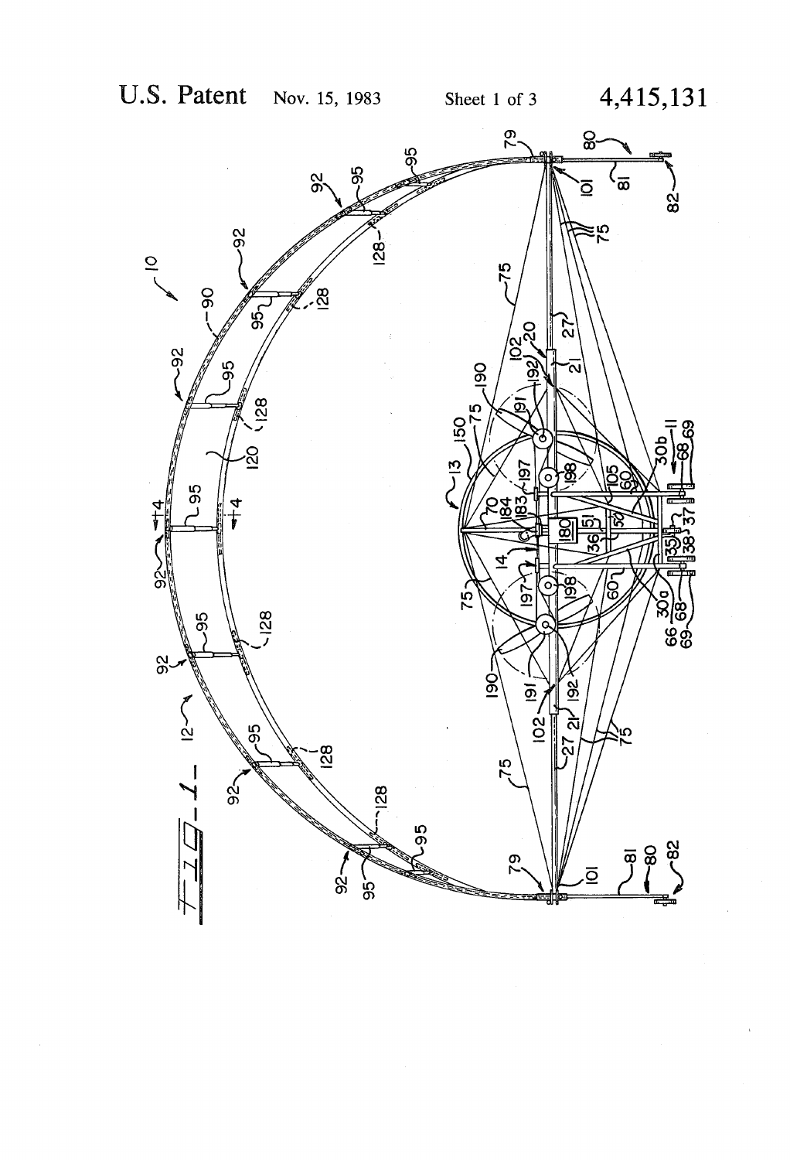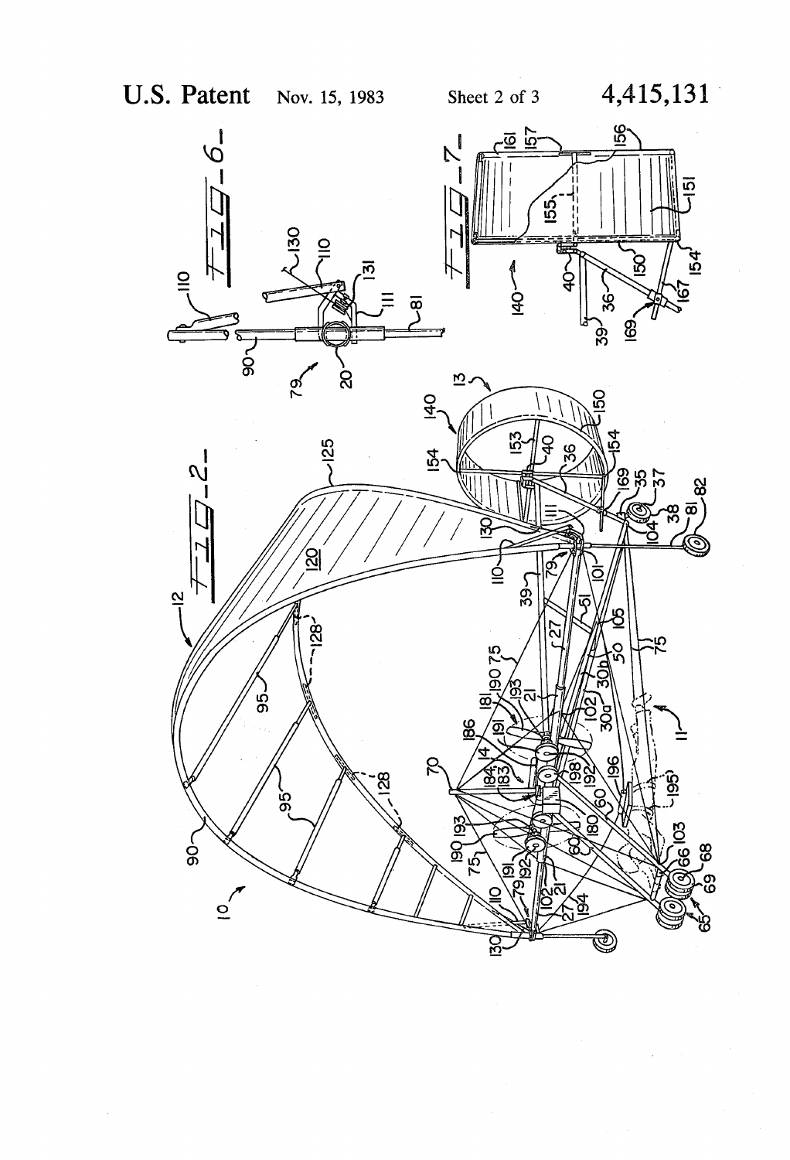$\bar{\beta}$ 

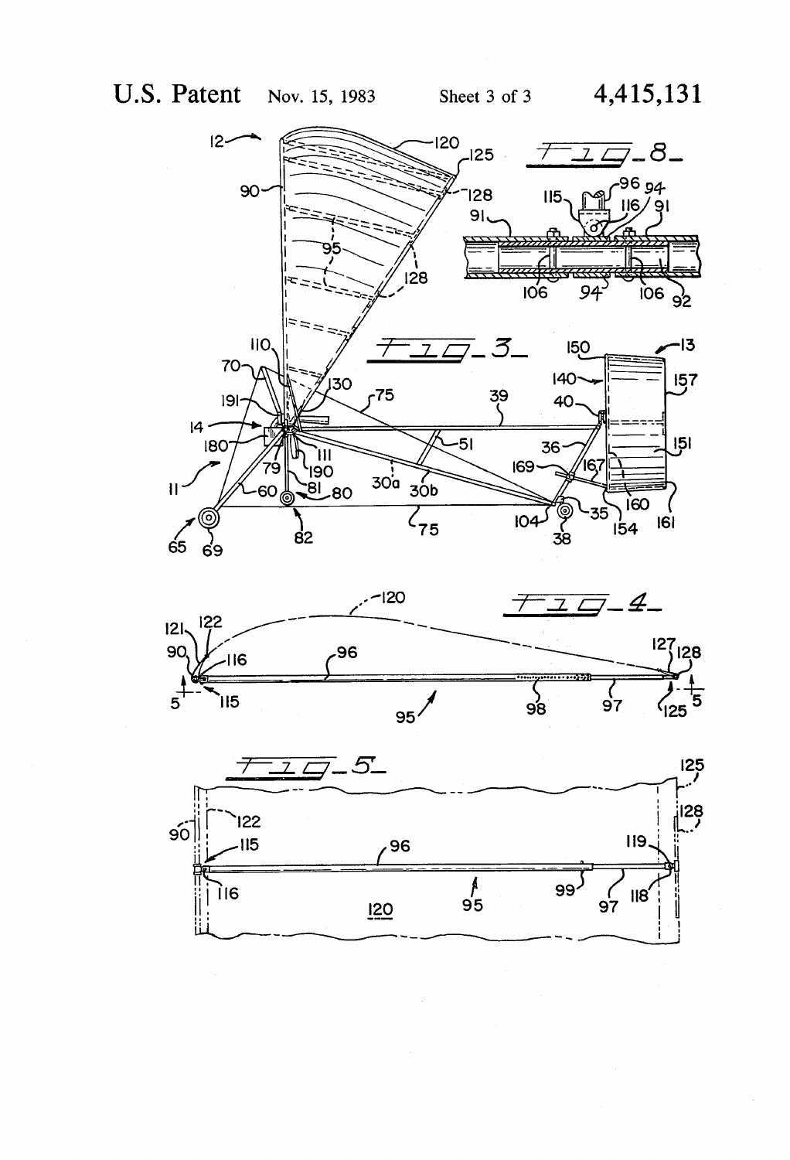



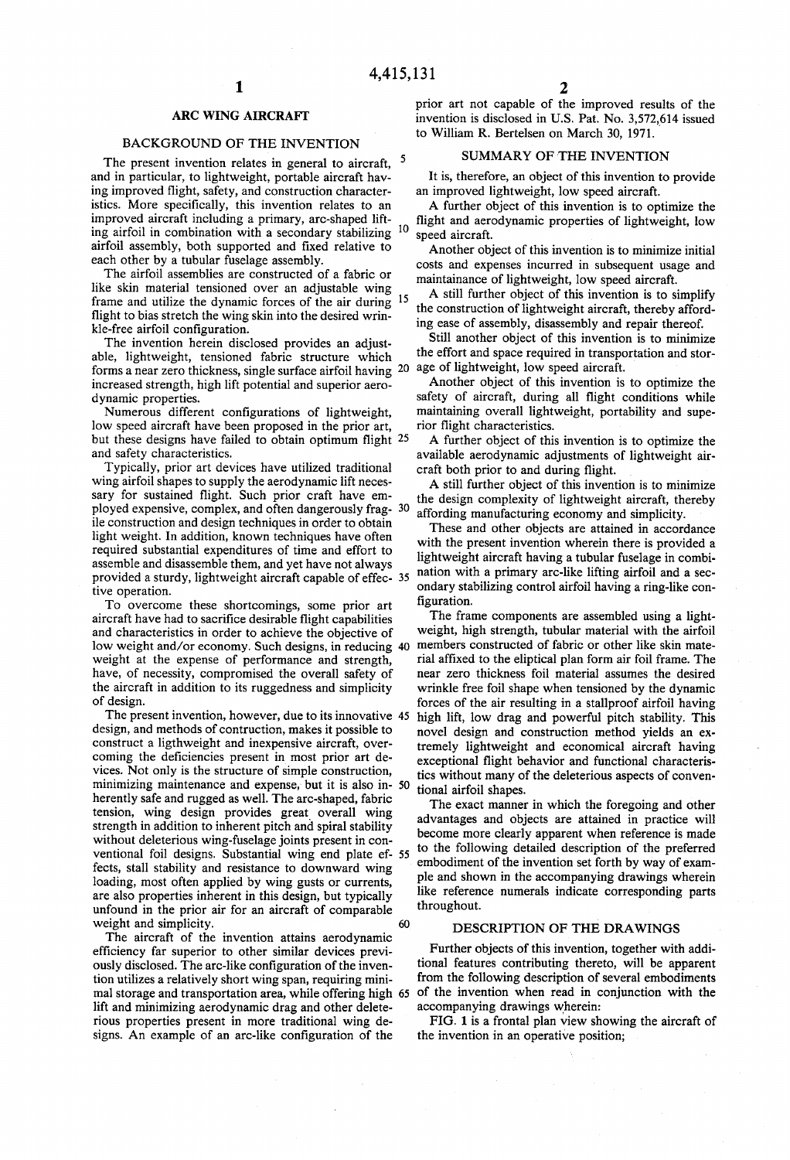10

15

#### ARC WING AIRCRAFT

#### BACKGROUND OF THE INVENTION

The present invention relates in general to aircraft, and in particular, to lightweight, portable aircraft hav ing improved flight, safety, and construction character istics. More specifically, this invention relates to an improved aircraft including a primary, arc-shaped lift-<br>ing airfoil in combination with a secondary stabilizing airfoil assembly, both supported and fixed relative to each other by a tubular fuselage assembly.

The airfoil assemblies are constructed of a fabric or like skin material tensioned over an adjustable wing frame and utilize the dynamic forces of the air during flight to bias stretch the wing skin into the desired wrinkle-free airfoil configuration.

The invention herein disclosed provides an adjustable, lightweight, tensioned fabric structure which increased strength, high lift potential and superior aerodynamic properties.

Numerous different configurations of lightweight, low speed aircraft have been proposed in the prior art, but these designs have failed to obtain optimum flight <sup>25</sup><br>and safety characteristics.

Typically, prior art devices have utilized traditional wing airfoil shapes to supply the aerodynamic lift neces sary for sustained flight. Such prior craft have em ployed expensive, complex, and often dangerously frag- 30 ile construction and design techniques in order to obtain light weight. In addition, known techniques have often required substantial expenditures of time and effort to assemble and disassemble them, and yet have not always provided a sturdy, lightweight aircraft capable of effec 35 tive operation.

To overcome these shortcomings, some prior art aircraft have had to sacrifice desirable flight capabilities and characteristics in order to achieve the objective of weight at the expense of performance and strength, have, of necessity, compromised the overall safety of the aircraft in addition to its ruggedness and simplicity of design.

I'm present invention, however, due to its innovative 45 design, and methods of contruction, makes it possible to construct a ligthweight and inexpensive aircraft, overcoming the deficiencies present in most prior art devices. Not only is the structure of simple construction, vices. Not only is the structure of simple construction, minimizing maintenance and expense, but it is also in 50 herently safe and rugged as well. The arc-shaped, fabric strength in addition to inherent pitch and spiral stability without deleterious wing-fuselage joints present in conventional foil designs. Substantial wing end plate ef. 55 fects, stall stability and resistance to downward wing loading, most often applied by wing gusts or currents, are also properties inherent in this design, but typically unfound in the prior air for an aircraft of comparable weight and simplicity. 60

efficiency far superior to other similar devices previously disclosed. The arc-like configuration of the invention utilizes a relatively short wing span, requiring mini lift and minimizing aerodynamic drag and other deleterious properties present in more traditional wing de signs. An example of an arc-like configuration of the mal storage and transportation area, while offering high 65

prior art not capable of the improved results of the invention is disclosed in U.S. Pat. No. 3,572,614 issued to William R. Bertelsen on March 30, 1971.

### SUMMARY OF THE INVENTION

It is, therefore, an object of this invention to provide an improved lightweight, low speed aircraft.

A further object of this invention is to optimize the flight and aerodynamic properties of lightweight, low speed aircraft.

Another object of this invention is to minimize initial costs and expenses incurred in subsequent usage and maintainance of lightweight, low speed aircraft.<br>A still further object of this invention is to simplify

the construction of lightweight aircraft, thereby affording ease of assembly, disassembly and repair thereof.

20 age of lightweight, low speed aircraft. Still another object of this invention is to minimize the effort and space required in transportation and stor

Another object of this invention is to optimize the safety of aircraft, during all flight conditions while maintaining overall lightweight, portability and supe rior flight characteristics.

A further object of this invention is to optimize the available aerodynamic adjustments of lightweight air craft both prior to and during flight.

A still further object of this invention is to minimize the design complexity of lightweight aircraft, thereby affording manufacturing economy and simplicity.

These and other objects are attained in accordance with the present invention wherein there is provided a lightweight aircraft having a tubular fuselage in combi nation with a primary arc-like lifting airfoil and a sec ondary stabilizing control airfoil having a ring-like con figuration.

40 members constructed of fabric or other like skin mate The frame components are assembled using a light-weight, high strength, tubular material with the airfoil rial affixed to the eliptical plan form air foil frame. The near zero thickness foil material assumes the desired wrinkle free foil shape when tensioned by the dynamic forces of the air resulting in a stallproof airfoil having high lift, low drag and powerful pitch stability. This novel design and construction method yields an ex-<br>tremely lightweight and economical aircraft having exceptional flight behavior and functional characteristics without many of the deleterious aspects of conven tional airfoil shapes.

The exact manner in which the foregoing and other advantages and objects are attained in practice will become more clearly apparent when reference is made to the following detailed description of the preferred embodiment of the invention set forth by way of exam ple and shown in the accompanying drawings wherein like reference numerals indicate corresponding parts throughout.

#### DESCRIPTION OF THE DRAWINGS

Further objects of this invention, together with addi tional features contributing thereto, will be apparent from the following description of several embodiments of the invention when read in conjunction with the accompanying drawings wherein:

FIG. 1 is a frontal plan view showing the aircraft of the invention in an operative position;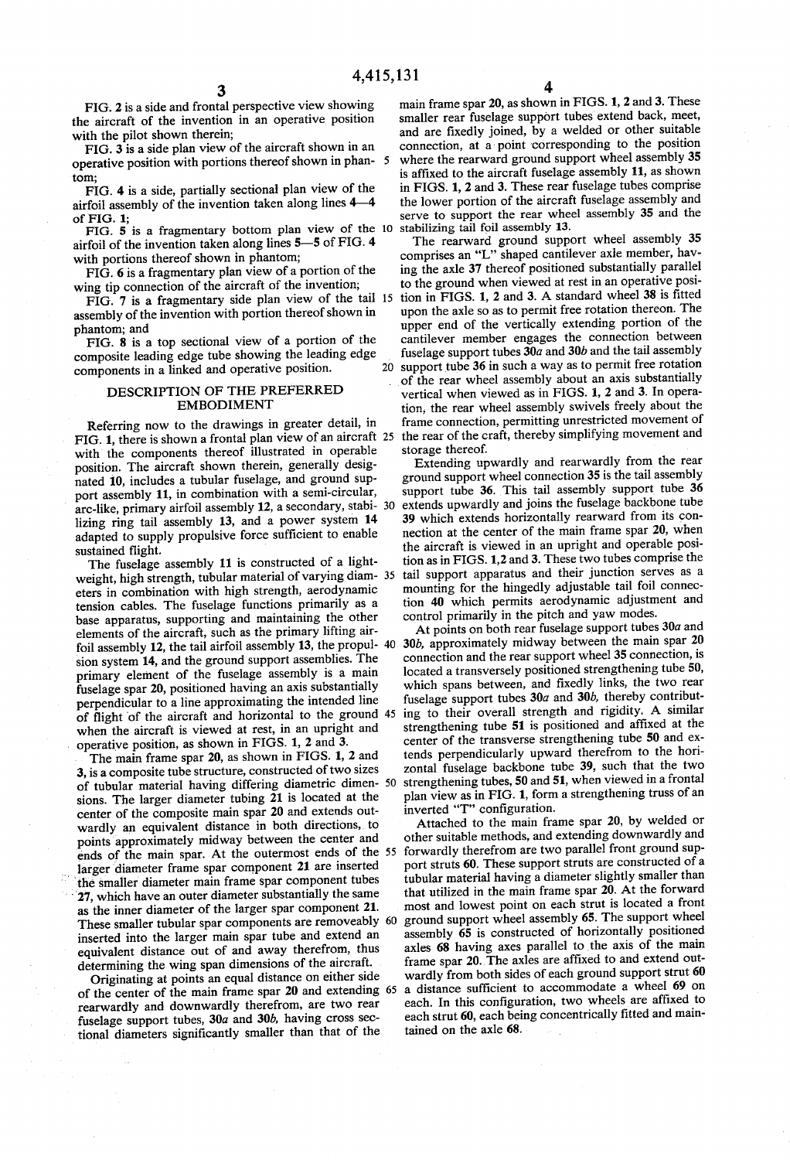FIG. 2 is a side and frontal perspective view showing the aircraft of the invention in an operative position with the pilot shown therein;

FIG. 3 is a side plan view of the aircraft shown in an operative position with portions thereof shown in phan-5 tom:

FIG. 4 is a side, partially sectional plan view of the airfoil assembly of the invention taken along lines 4-4 of FIG.  $1$ :

FIG. 5 is a fragmentary bottom plan view of the 10 airfoil of the invention taken along lines 5-5 of FIG. 4 with portions thereof shown in phantom;

FIG. 6 is a fragmentary plan view of a portion of the wing tip connection of the aircraft of the invention;

FIG. 7 is a fragmentary side plan view of the tail 15 assembly of the invention with portion thereof shown in phantom; and

FIG. 8 is a top sectional view of a portion of the composite leading edge tube showing the leading edge components in a linked and operative position.

### DESCRIPTION OF THE PREFERRED **EMBODIMENT**

Referring now to the drawings in greater detail, in FIG. 1, there is shown a frontal plan view of an aircraft 25 with the components thereof illustrated in operable position. The aircraft shown therein, generally designated 10, includes a tubular fuselage, and ground support assembly 11, in combination with a semi-circular, arc-like, primary airfoil assembly 12, a secondary, stabi- 30 lizing ring tail assembly 13, and a power system 14 adapted to supply propulsive force sufficient to enable sustained flight.

The fuselage assembly 11 is constructed of a lightweight, high strength, tubular material of varying diam- 35 tail support apparatus and their junction serves as a eters in combination with high strength, aerodynamic tension cables. The fuselage functions primarily as a base apparatus, supporting and maintaining the other elements of the aircraft, such as the primary lifting airfoil assembly 12, the tail airfoil assembly 13, the propul- 40 sion system 14, and the ground support assemblies. The primary element of the fuselage assembly is a main fuselage spar 20, positioned having an axis substantially perpendicular to a line approximating the intended line of flight of the aircraft and horizontal to the ground 45 ing to their overall strength and rigidity. A similar when the aircraft is viewed at rest, in an upright and operative position, as shown in FIGS. 1, 2 and 3.

The main frame spar 20, as shown in FIGS. 1, 2 and 3, is a composite tube structure, constructed of two sizes of tubular material having differing diametric dimen- 50 sions. The larger diameter tubing  $21$  is located at the center of the composite main spar 20 and extends outwardly an equivalent distance in both directions, to points approximately midway between the center and ends of the main spar. At the outermost ends of the 55 larger diameter frame spar component 21 are inserted the smaller diameter main frame spar component tubes 27, which have an outer diameter substantially the same as the inner diameter of the larger spar component 21. These smaller tubular spar components are removeably 60 inserted into the larger main spar tube and extend an equivalent distance out of and away therefrom, thus determining the wing span dimensions of the aircraft.

Originating at points an equal distance on either side of the center of the main frame spar 20 and extending 65 rearwardly and downwardly therefrom, are two rear fuselage support tubes, 30a and 30b, having cross sectional diameters significantly smaller than that of the

main frame spar 20, as shown in FIGS. 1, 2 and 3. These smaller rear fuselage support tubes extend back, meet, and are fixedly joined, by a welded or other suitable connection, at a point corresponding to the position where the rearward ground support wheel assembly 35 is affixed to the aircraft fuselage assembly 11, as shown in FIGS. 1, 2 and 3. These rear fuselage tubes comprise the lower portion of the aircraft fuselage assembly and serve to support the rear wheel assembly 35 and the stabilizing tail foil assembly 13.

The rearward ground support wheel assembly 35 comprises an "L" shaped cantilever axle member, having the axle 37 thereof positioned substantially parallel to the ground when viewed at rest in an operative position in FIGS. 1, 2 and 3. A standard wheel 38 is fitted upon the axle so as to permit free rotation thereon. The upper end of the vertically extending portion of the cantilever member engages the connection between fuselage support tubes  $30a$  and  $30b$  and the tail assembly 20 support tube 36 in such a way as to permit free rotation of the rear wheel assembly about an axis substantially vertical when viewed as in FIGS. 1, 2 and 3. In operation, the rear wheel assembly swivels freely about the frame connection, permitting unrestricted movement of the rear of the craft, thereby simplifying movement and storage thereof.

Extending upwardly and rearwardly from the rear ground support wheel connection 35 is the tail assembly support tube 36. This tail assembly support tube 36 extends upwardly and joins the fuselage backbone tube 39 which extends horizontally rearward from its connection at the center of the main frame spar 20, when the aircraft is viewed in an upright and operable position as in FIGS. 1,2 and 3. These two tubes comprise the mounting for the hingedly adjustable tail foil connection 40 which permits aerodynamic adjustment and control primarily in the pitch and yaw modes.

At points on both rear fuselage support tubes 30a and 30*b*, approximately midway between the main spar 20 connection and the rear support wheel 35 connection, is located a transversely positioned strengthening tube 50, which spans between, and fixedly links, the two rear fuselage support tubes 30a and 30b, thereby contributstrengthening tube 51 is positioned and affixed at the center of the transverse strengthening tube 50 and extends perpendicularly upward therefrom to the horizontal fuselage backbone tube 39, such that the two strengthening tubes, 50 and 51, when viewed in a frontal plan view as in FIG. 1, form a strengthening truss of an inverted "T" configuration.

Attached to the main frame spar 20, by welded or other suitable methods, and extending downwardly and forwardly therefrom are two parallel front ground support struts 60. These support struts are constructed of a tubular material having a diameter slightly smaller than that utilized in the main frame spar 20. At the forward most and lowest point on each strut is located a front ground support wheel assembly 65. The support wheel assembly  $65$  is constructed of horizontally positioned axles 68 having axes parallel to the axis of the main frame spar 20. The axles are affixed to and extend outwardly from both sides of each ground support strut 60 a distance sufficient to accommodate a wheel 69 on each. In this configuration, two wheels are affixed to each strut 60, each being concentrically fitted and maintained on the axle 68.

4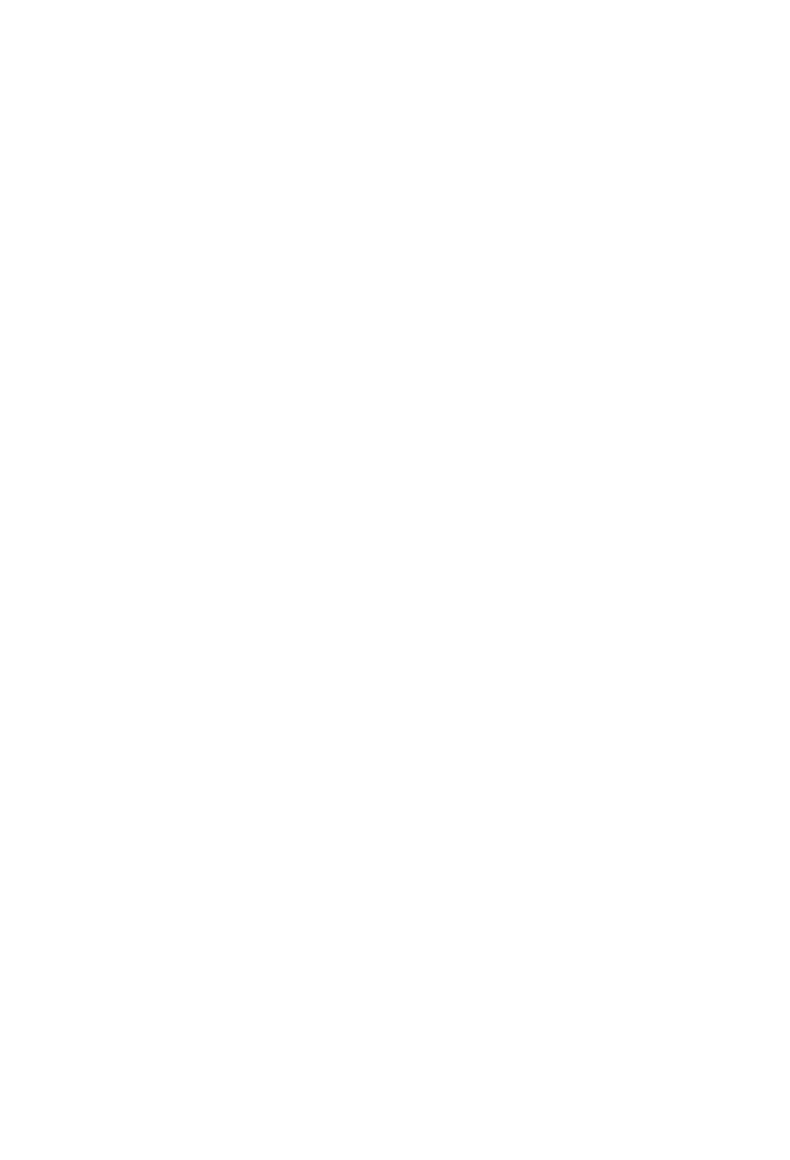At points located on the front ground support struts 60, slightly behind and above the ground wheel assemblies 65, is affixed a transversely positioned support strut cross member 66, as shown in FIGS. 1 and 2. This cross member is affixed to each front ground support 5 strut 60, by welded or other suitable methods, having an axis substantially parallel to the main frame spar 20 and substantially perpendicular to the intended direction of flight. This cross bar provides added strength and rigidity to the front ground support assembly in addition to 10 support and control means for the pilot of the craft in the form of a hand grip.

Originating at the center of the main frame spar 20 and extending upwardly and forwardly therefrom is a tension cable support member 70. This support member 15 extends upwardly to a height sufficient to permit unobstructed placement of fuselage retaining cables 75, which eminate from its uppermost end.

The fuselage retaining cable 75, eminating from the cable support member 70, extend, therefrom to points, 20 slightly inside the outer most ends of the main frame spar 20 designated 101, to points slightly inside of the transition point between the larger and smaller diameter main spar component tubes designated 102, to points corresponding with the point of connection between 25 both front ground support struts 60 and the ground support cross bar 66 designated 103 and to the point 104 located at the junction of the rear fuselage support tubes 30a and 30b, the tail assembly support tube 36 and the rear support wheel assembly 35. Additional cables ex- 30 in an operative side plane view as in FIG. 3. tend from the front ground support strut-cross member connection 103 to; the points slightly inside the outermost end of the main frame spar, 101; the points slightly inside the large-small main frame spar transition, 102; and the point at the rear support and tail support tube 35. These chord sticks dictate the chord length at varying connection, 104, Cables also link the points designated 105 corresponding to the connection between the rear fuselage support tubes, 30a and 30b, and the horizontal, transversely positioned strengthening tube 50 with the points 101 slightly inside the outerwing tip ends and the 40 points 102 slightly inside the tube size transition on both sides of the main frame spar 20. Finally, two cables originate from the hinged tail assembly connection 40 and extend forward to the points slightly inward of the tube size transition on the main frame spar 20 designated 45 97 for each chord stick needed, as shown in FIG. 4. One 102

At the outermost ends of the composite main frame spar 20 are wing tip connections 79 linking the main arc-like airfoil assembly 12 with the fuselage assembly 11. Extending perpendicularly downward from these 50 wing tip connections, are wing tip support wheel assemblies 80. Each such wheel assembly is comprised of a vertically positioned support tube 81, fixed at its upper most end to the wing tip connection 79 and having at its lower end a small cantilevered wheel assembly 82. The 55 wheel assemblies 82, when in an operative position as shown in FIGS. 1, 2 and 3, are positioned slightly above the plane determined by the two front wheel assemblies 65 and the rear wheel assembly 35, such that they will contact the ground only upon tipping of the aircraft or 60 substantial warpage or bending of the main frame spar 20  $\sim 25$ iste uk

Extending upwardly from the wing tip connections 79 at both ends of the main frame spar 20 is an arcshaped, leading edge wing tube 90, comprised of a plu-65 rality of tube segments 91 linked together into one composite leading edge tube. This composite leading edge tube 90, when assembled, has its ends affixed to the

frame assembly 11 at the wing tip connections 79 and assumes a "D" shape when viewed in a frontal plane view as in FIG. 1. The semi-circular arc-shape defines a plane substantially perpendicular to the desired direction of flight and has a radial axis substantially parallel to the horizontal fuselage backbone tube 39.

As with the other tubular components utilized in the aircraft, the leading edge tube segments 91 are constructed of a high strength, lightweight material fastened together by connecting barrels 92 and linking bolts 106 as shown in FIG. 8. In this configuration, the composite leading edge tube 90, independently resists rearward deflection and warpage due to the dynamic forces of the air during flight.

Additional resistance to rearward deflection of the composite leading edge tube 90 is provided by additional wing support members 110, shown in FIGS. 2, 3 and 6, attached to the leading edge tube 90 at points slightly above the wing tip connections 79 and directly behind the leading edge tube 90, when the invention is viewed in a frontal plan view as in FIG. 1. These wing support members 110 extend downwardly and rearwardly from their connection with the leading edge tube 90 to points of attachment on horizontal rearwardly extending portions 111 of the wing tip connection assemblies 79. The wing support members 110<sup>th</sup>in combination with the leading edge tube 90 and the rearwardly extending wing tip connection portions 111 form a triangular wing support assembly when viewed

At symmetric and Varying distances around the leading'edge tube 90 are points corresponding to the leading edge component tube connections at which are located hingedly attached variable length chord sticks 95. points on the wing arc with the maximum length chord stick located at the crest of the arc-shaped leading edge tube 90 and the shortest chord stick being positioned at a point slightly above the wing tip connection 79.

As noted above, the chord sticks 95 have telescopic length adjustment, such that the wing chord dimensions can be readily changed to afford the desired aerodynamic qualities. This telescopic length adjustability is attained through the use of two chord stick tubes 96 and of the component tubes 96 is larger, having an inside diameter equivalent to, or slightly larger than, the outer diameter of the smaller tube 97, such that the smaller tube 97 can slide concentrically within the larger tube 96. At various points on both component tubes corresponding pin or bolt holes 98 are located, such that the bolt or pin 99 can be inserted therethrough fixing the smaller inner tube 97 relative to the larger outer tube 96. In this way, numerous chord lengths are attainable with each chord stick, while allowing ready alteration thereof.  $\sim$ 

The chord sticks 95 are affixed to the leading edge tube 90 by clevis pin connection 115 which in turn is affixed to sleeve 94 as shown in FIGS. 4, 5 and 8. The clevis pin 116 thereof having an axis substantially vertical, thereby permitting only horizontal planar rotation of the chord stick 95 about the pin axis. In this manner, the chord sticks 95 are horizontally and vertically moveable allowing them to swing down or "luff" in zero wind speed as well as permitting ease of assembly. Affixed to the leading edge tube 90 and extending rearward therefrom, over the telescopic chord sticks 95, is the fabric-like wing skin material 120. This wing skin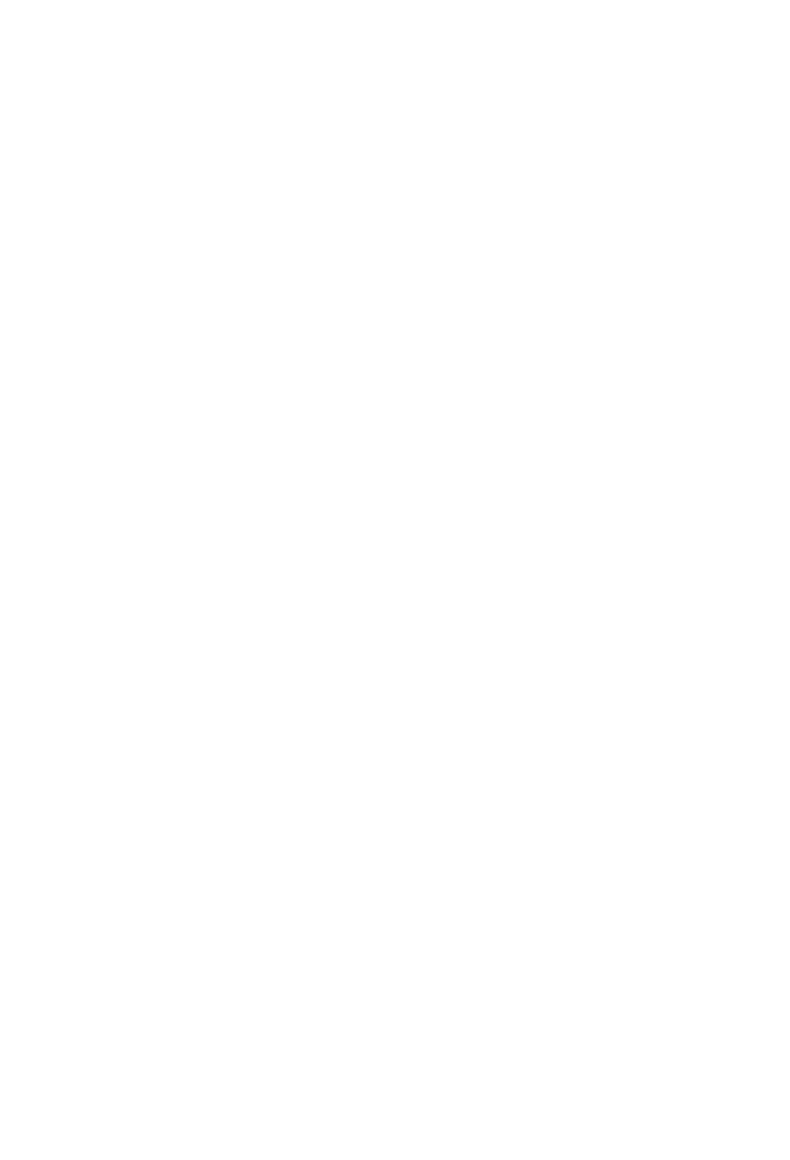forms a canopy over the aircraft, having its greatest chord length at the top or crown of the leading edge tube arc and diminishing to a chord length of zero at points slightly above the wing tip connection 79, as shown in FIGS. 1, 2 and 3. This skin material, when 5 tensioned by the dynamic forces of the air, assumes the desired airfoil configuration which creates the needed aerodynamic lift for sustained flight.

As shown in FIG. 4, the wing skin 120 is attached to the leading edge tube 90 by folding over it, forming a 10 tube-like cuff 121 through which the leading edge tube is inserted. This tunnel-like cuff is maintained by sewing, or affixing by other appropriate means, the front skin edge to the skin at a point, 122, behind the leading edge tube 90, as also shown in FIG. 4.

The skin material extends rearward from this cuffed connection 121, over the chord sticks 95, to the trailing edge of the wing skin 125. At the trailing edge the wing skin is formed into a cuff 127, similar to that at the 20 leading edge 121, which serves both as a wing skin reinforcement and a connection for the trailing end of the chord sticks 95.

The trailing edge connection is very similar to that shown at the leading edge, however, instead of a contin-25 uous arc-shaped frame member being inserted into the cuff tunnel as is done with the leading edge tube 90, smaller non-continuous batten segments 128 are used to anchor the rearward ends of the chord sticks 95 in the cuff tunnel of the wing skin trailing edge 127, as shown าก in FIGS. 1, 3, 4 and 5. These batten segments extend perpendicularly out a short distance from the end of chord sticks 95 forming a "T" shaped structure, but not so far as to come in contact with the batten segment of the adiacent chord sticks, as shown in phantom in  $_{35}$ FIGS. 1, 3 and 5.

These batten segments 128 are attached to the trailing end of the chord sticks 95 by a clevis pin connection 118 similar to that shown in the leading edge connection. The axis of the clevis pin 119 is substantially parallel to  $_{40}$ the pin axis of the leading edge clevis connection 115.

At the lower ends of the wing skin canopy, slightly above the wing tip connections 79, the wing skin chord length diminishes to zero. At or slightly above this lowest point, an incidence angle adjustment cable 130 is 45 rods extend rearward from the tail spoke connections fixedly attached to the reinforced wing skin trailing edge 125. This adjustment cable is routed from this connection around a pulley 131, shown in FIG. 6, attached to the wingtip connection 79, to a position on the front ground support struts 60 which is easily reached  $50$ by the pilot when situated in an operative position. By tightening or loosening both ends of this cable, the reinforced trailing edge of the wing skin 125 is tightened or loosened and accordingly, the incidence angle of the airfoil, formed by the wing skin 120, can be al- 55 tered, thereby changing the flight characteristics of the craft as desired.

At the junction of the tail assembly support tube 36 and the fuselage backbone tube 39, is located a tail assembly connection joint 40, hingedly linking the tail 60 assembly 13 to the frame assembly 11. The tail assembly connection joint 40 of the preferred embodiment shown in FIG. 7, comprises a hinge having a single axis of rotation lying horizontally perpendicular to the fuselage backbone tube 39. The hinged connection permits only 65 segment of the vertical tail spoke 153 with the circular rotational movement in the vertical plane perpendicular to the ground when the aircraft is viewed in an operative position as shown in FIGS. 1, 2, 3 and 7.

Alternatively, a universally adjustable connection would be utilized in place of the hinged connection 40, allowing movement or adjustment to the tail assembly 13 about a plurality of axes or planes.

The tail assembly 13 of the preferred embodiment is of a tube-like configuration having its radial axis generally aligned parallel with the intended line of flight of the aircraft, as shown in FIGS. 2 and 3. The assembly is constructed of a light-weight skeletal frame structure 140, covered by a fabric envelope 151 of material identical or similar to that utilized in the primary arc wing 12 assembly.

At the leading edge of the tail assembly frame structure is a tail assembly leading edge tube 150 which is 15 formed into a circular configuration having a cross-sectional diameter significantly smaller than the diameter formed by the main airfoil leading edge tube 95. The circular tail leading edge tube 150 is attached at its radial center to the hinged tail assembly connection 40 by radial spokes 153 which eminate from the tail assembly connection 40 and extend therefrom to the tail assembly leading edge tube 150 as shown in FIG. 2. As also shown in FIG. 2, the tail spoke apparatus of the preferred embodiment consists of two sets of spoke members, one set having a vertical axis substantially perpendicular to the ground and the other set being horizontal having its axis substantially perpendicular to the vertical spokes. In combination the two spoke sets form a "cross" defining a vertical plane oriented substantially perpendicular to the desired direction of flight as shown in FIGS. 1, 2 and 3.

The radial tail spokes 153 are affixed to the tail assembly leading edge tube 150 by a suitable connection 154 affording fixed engagement as well as ready removal, thereby permitting simplified assembly and disassembly.

Attached to and extending perpendicularly rearward from each tail spoke leading edge tube connection 154 are lightweight tail envelope support rods 155. These envelope support rods are fixedly attached to the tail spoke connections 154 so as to retain, at all times, their perpendicular orientation relative to the plane determined by the tail spoke assembly thereby retaining the desired tubular tailfoil shape.

As shown in FIGS. 3 and 7, the envelope support 154 to the trailing edge of the tail foil envelope 156. At the trailing end of each envelope support rod is a trailing edge "T" member 157, the arms of which extend perpendicularly a short distance away from the support rods, along a line approximating the circular trailing edge as shown in FIG. 7.

The fabric envelope 151, which covers the tail assembly support structure, attaches thereto in much the same way as does the wing skin 120 on the primary arc wing 12. Both the leading and trailing edges have folded cuffs 160 and 161, into which are inserted the tail assembly leading edge tube 150 and the trailing edge "T" members 157, as shown in FIGS. 3 and 7. The tail envelope material is tightly fitted to the tail assembly structure and unlike the main arc wing, it does not require the dynamic air forces to form it into its operative aerodynamic shape, although such forces do augment its shape somewhat.

At or slightly above the connection linking the lower tail leading edge tube 150 is located a tail assembly control rod 167. This control rod is hingedly attached either to the vertical tail spoke 153, the leading edge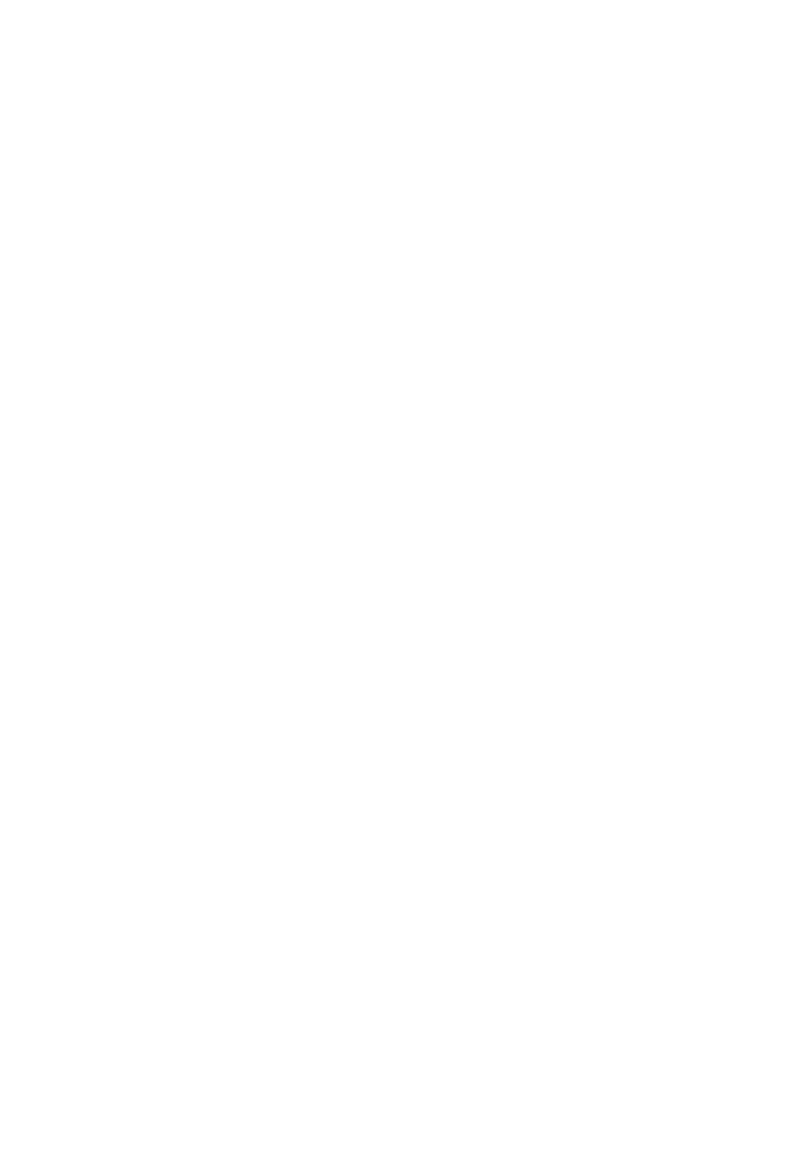tube 150 or the connection 154 linking the two, and extends forwardly or forwardly and upwardly therefrom to an adjustably fixed connection 169 on the tail assembly support tube 36.

The adjustable connection 169 permits the tail assem- 5 bly control rod 167 to be moved either forward or backward, relative thereto, thereby moving the lower edge of the tail leading edge tube 150 and causing the entire tail assembly to hingedly rotate about the hinged tail assembly connection 40. In this way, the vertical 10 component of the tube-like tail assembly's radial axis is adjustably altered to give a desired aerodynamic effect.

The power system of the preferred embodiment. generally designated 14, is centrally located on the main frame spar 20 and consists of a power unit 180, propeller 15 assemblies 181, and a plurality of pulley, belt, and shaft members which transmit the power between the two, as shown in FIGS. 1, 2 and 3.

The power supplying unit 180 of the preferred embodiment is a small, internal combustion engine, 20 mounted at the center of the main frame spar 20 and positioned on top and slightly forward thereof, as shown in FIGS.  $1$ , 2 and 3. The engine 180, is oriented such that the rotating, power transmitting shaft 185 extends vertically upward, having the axis of rotation 25 substantially perpendicular to the main frame spar 20.

Rigidly fixed to the power imparting shaft 185, is a centrifugal clutch rotor 183 which serves to control the power transmitted to the other parts of the system, as a function of engine speed. Also rigidly fitted onto the 30 engine shaft 185, directly atop the clutch rotor 183, is a belt driving sheave member 184. This sheave or pulley member drives the power transmitting belts 186 which extend outward and provide power to the propeller assemblies 181. The propeller assemblies are comprised 35 of a propeller unit 190, a propeller drive pulley 191, a propeller shaft 192 and a bearing mounting assembly 193 affixing the entire propeller assembly to the main frame spar 20.

The propeller unit 190 of the preferred embodiment is 40 positioned behind the main frame spar 20 having a rotational axis substantially horizontal to the ground when viewed at rest at an operable position and perpendicular to the main frame spar 20, as shown in FIGS. 1, 2 and 3.

The propeller shaft 192 extends forward from its 45 connection with the propeller unit along the rotational axis thereof. The shaft extends through the bearing members of the propeller mounting assembly 193 to a point slightly forward of the main frame spar. Rigidly affixed to the forward most end of this forwardly ex- 50 tending portion of the propeller shaft is the propeller drive belt 186. The belts 186 are positioned and tensioned such that when they are rotated around the engine drive pulley 184 a similar rotation is imparted to the propeller drive pulley 191. This rotation is transmit- 55 ted by the propeller shaft through the bearing members of the propeller assembly mounting to the propeller units, resulting in rotation thereof.

Due to the relative positioning of the engine 180 and the propeller assembly 181, the engine shaft 185 and the 60 propeller shafts 192 are misaligned by 90° or substantially perpendicular to each other. As shown in FIG. 1, as a result, the drive belts 186 must undergo a significant twisting to successfully link the engine drive pulley 184 with the propeller drive pulleys 191.

To facilitate the required belt twisting, as well as to insure trouble free operation, two sets of drive belt idler pulleys are installed on the main frame spar 20, one set

on either side of the power unit 180. The first such idler pulley of each set is located slightly outside the engine until 180, on top of the main frame spar 20, having a vertical axis of rotation. The pulley is rigidly affixed to the main frame spar by a suitable mounting assembly and is aligned at the same horizontal height as the corresponding drive pulley 184 on the engine shaft.

These inner idler pulleys serve to tension and align the drive belt 186 as it leaves and enters the drive pulley assembly.

Located outward from the inner idler pulley along the main frame spar approximately midway between the engine 180 and the propeller assembly 190 is the second idler pulleys 198 of each set which is rigidly affixed to the main frame spar by suitable mounting methods. These second idler pulleys have rotational axes substantially parallel to the axis of the propeller shafts and substantially perpendicular to the rotational axis of the inner idler pulleys 197. In this position, the drive belts, upon leaving the drive pulley 194 and passing over the inner idler pulley 197, must undergo the required 90° twisting prior to engaging this pulley, in order to align properly therewith. Upon passing over the top of this second idler pulley, the drive belts 186 are sufficiently twisted and properly situated to engage the propeller drive pulley 191 in the most efficient and trouble free manner, thereby reducing the operational problems encountered with twisted belt drive mechanisms.

In operation, the drive belts 186 are positioned in such a way as to drive the propeller drive pulleys 191 and consequently the propeller units 190 in opposite rotational directions. Such opposing rotation permits the use of larger propellers without any torque reaction problems arising. Additionally, the pulley sizes and propeller configurations are carefully selected to provide the optimum propeller rotational speed and thrust force properties for a desired flight plan.

As shown in FIG. 2, the pilot support apparatus of the preferred embodiment is essentially a translatable trolley mechanism, comprised of a pilot support cable 194, a pilot harness 195 and a trolley wheel assembly 196.

The pilot support cable 194 is securely affixed to both ends of the main frame spar 20 at or about the wing tip connections 79. Sufficient slack is left in the cable 194 such that the pilot, when in an operable position, is suspended below the main frame spar a slight distance above the ground, as shown in FIG. 2. Located upon the pilot support cable 194 is a trolley wheel assembly 196, having trolley wheels aligned with and placed upon the pilot support cable, enabling rolling translation of the trolley wheel assembly along the length of the cable 194. This trolley wheel assembly is securely attached to a pilot harness 195 which is worn by the operator and serves to suspend him below the support cable and trolley wheel assembly as shown in FIG. 2. In use, the trolley wheel assembly and thus the pilot, are translated along the support cable as is desired by the pilot thereof, thereby altering the weight distribution and center of gravity location of the aircraft. By altering these elements, the flight characteristics and flight directions of the craft are altered as well.

While the invention has been described with reference to preferred embodiments, it will be understood by 65 those skilled in the art that various changes may be made and equivalents may be substituted for elements thereof without departing from the scope of the invention. In addition, many modifications may be made to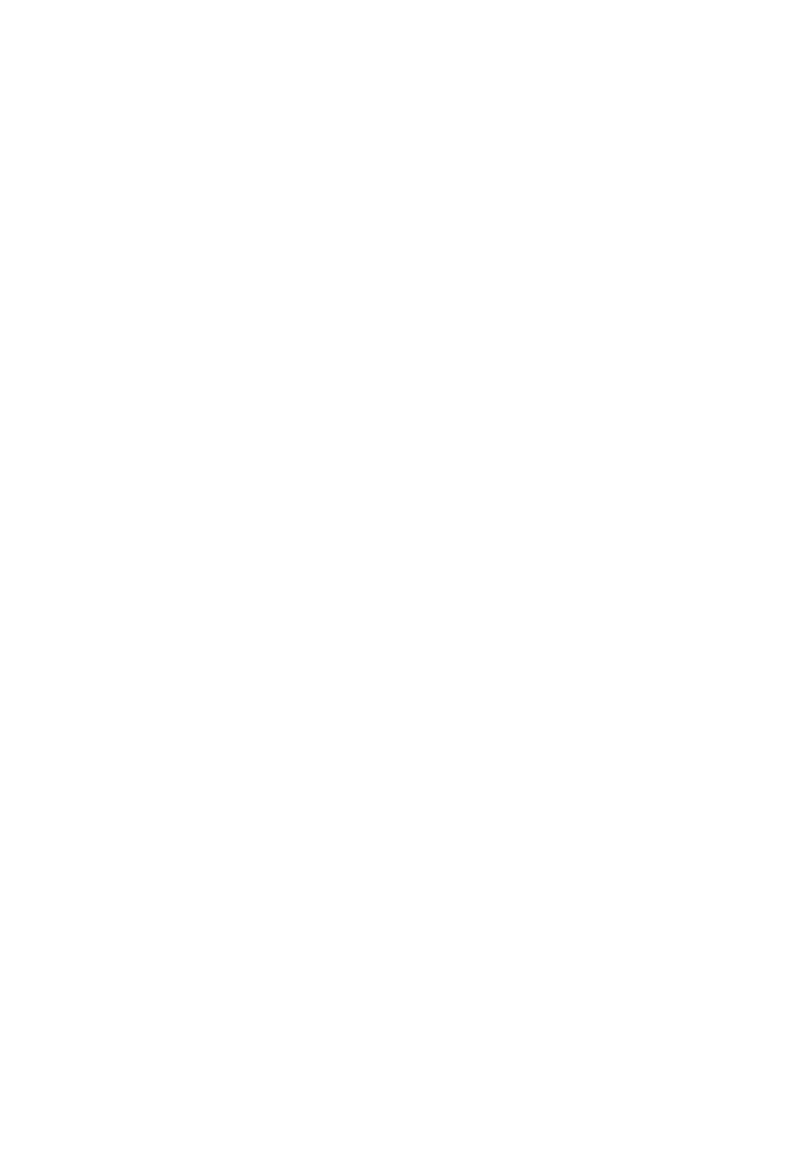$10$ 

adapt a particular situation or material to the teachings of the invention without departing from the essential scope thereof. Therefore, it is intended that the invention not be limited to the particular embodiments disclosed as the best mode contemplated for carrying out 5 this invention, but that the invention will include all embodiments falling within the scope of the appended claims.

What is claimed is:

 $\epsilon_{\rm{max}}$ 

- 1. An aircraft comprising
- fuselage means forming the support structure of an aircraft.
- airfoil means carried by said fuselage means and adapted to provide aerodynamic lift during flight 15 of the aircraft.
- said airfoil means forming a continuous wing surface of an arcuate configuration during flight,
- said continuous wing surface being formed of a flexible, fabric-like, material assuming said configura-20 tion during flight,
- said airfoil means extending upwardly from said fuselage means and having respective ends coupled thereto.
- said wing surface forming an increasing chord length
- from said ends to the upper portion of said airfoil 25 antica. means.
	- said fuselage means includes a plurality of elongated fuselage members coupled to a rigid member to form a support structure having a skeletal frame 30 construction.
	- a airfoil means including a rigid leading edge member to which said material is pivotally attached, and
	- said airfoil means further including a tensioned flexible trailing edge assuming the trailing edge config-35 uration of said wing surface during flight,
	- said airfoil means further including a plurality of airfoil form retaining means for supporting and defining said chord length of said airfoil means,
	- said airfoil form retaining means having means to selectively adjust said chord length at predeter- 40 mined positions along the arcuate configuration of said airfoil means.
	- 2. An aircraft as recited in claim 1, wherein
	- said airfoil form retaining means are hingedly at-45 tached to said airfoil leading edge means.
	- 3. An aircraft as recited in claim 1, wherein
	- said rigid leading edge member including a plurality of separable leading edge component members providing simplified assembly and disassembly and facilitating portability and storage of the aircraft. 50 4. An aircraft as recited in claim 1, wherein
	- said airfoil form retaining means have a plurality of tubular rods hingedly attached to said rigid leading edge member and extending horizontally and per-55 pendicularly rearward therefrom.

5. An aircraft as recited in claim 1, wherein

- said wing surface has a variable surface area as a function of position upward from said ends of the airfoil means.
- 6. An aircraft as recited in claim 5, wherein
- said wing surface area has a maximum value at the apex of said airfoil means and a minimum value at the connection between said airfoil means and said fuselage means.
- 7. An aircraft as recited in claim 1, wherein 65 said wing surface has an adjustably tensioned trailing
- edge for providing a controllably adjustable angle of incidence of said airfoil means.

8. An aircraft as recited in claim 1, further including second air foil means coupled to said fuselage means for providing in-flight stability and control,

a second leading edge member defining the cross-sectional configuration of said second airfoil means,

- said second leading edge member being hingedly attached to said aircraft fuselage.
- 9. An aircraft as recited in claim 8, wherein said second airfoil means includes.
- a plurality of airfoil form retaining members for defining the chord length of said second airfoil means,
- said form retaining members being attached to said second leading edge member and extending perpendicularly rearwardly therefrom.

10. An aircraft as recited in claim 9, wherein said second airfoil means includes,

- an airfoil fabric envelope forming an airfoil surface skin,
- said airfoil fabric envelope being adapted to fit tautly over and to attach to said leading edge means and said airfoil form retaining members.

11. An aircraft as recited in claim 8, wherein

said second leading edge member has a circular configuration with a radius significantly smaller than the radius of curvature of the arcuate configuration of said other airfoil means.

12. An aircraft as recited in claim 1, wherein said aircraft further includes,

a propulsion system for providing the requisite aerodynamic force to enable sustained flight.

13. An aircraft as recited in claim 12, wherein said propulsion means includes,

- a power source for supplying the required power to said propulsion means,
- said power source being affixed to said aircraft fuselage.

14. An aircraft as recited in claim 13, wherein said propulsion means includes,

a pair of rotor means for creating an aerodynamic slipstream from the energy provided by said power source.

15. An aircraft as recited in claim 14, wherein said propulsion means includes,

- power transmission means for transmitting power from said power source to said rotor means,
- said power transmission means having a plurality of pulley means for tensioning and directing the transmission of power between said power source and said rotor means.

16. An aircraft as recited in claim 15, wherein said power transmission means includes,

a plurality of sheave means for providing engagement means between said power source and said rotor means.

17. An airfoil adapted to be supported on an aircraft fuselage comprising,

- an airfoil means forming a continuous wing surface of an arcuate configuration during flight,
- said airfoil means extending upwardly from said fuselage means and having respective ends coupled thereto.
- said wing surface forming an increasing chord length from said ends to the upper portion of said airfoil means.
- said airfoil means includes rigid airfoil leading edge means for rigidly forming and defining the arcuate configuration of said airfoil means,

60